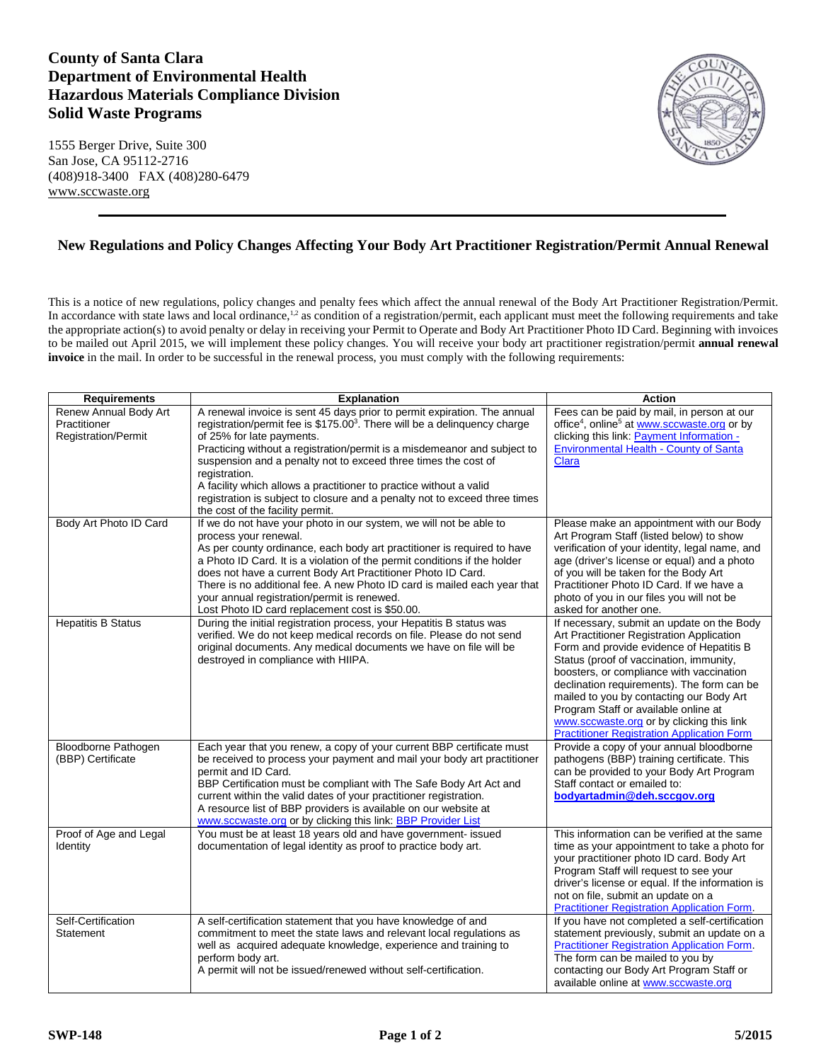## **County of Santa Clara Department of Environmental Health Hazardous Materials Compliance Division Solid Waste Programs**

1555 Berger Drive, Suite 300 San Jose, CA 95112-2716 (408)918-3400 FAX (408)280-6479 [www.sccwaste.org](http://www.sccwaste.org/)



## **New Regulations and Policy Changes Affecting Your Body Art Practitioner Registration/Permit Annual Renewal**

This is a notice of new regulations, policy changes and penalty fees which affect the annual renewal of the Body Art Practitioner Registration/Permit. In accordance with state laws and local ordinance,<sup>1,2</sup> as condition of a registration/permit, each applicant must meet the following requirements and take the appropriate action(s) to avoid penalty or delay in receiving your Permit to Operate and Body Art Practitioner Photo ID Card. Beginning with invoices to be mailed out April 2015, we will implement these policy changes. You will receive your body art practitioner registration/permit **annual renewal invoice** in the mail. In order to be successful in the renewal process, you must comply with the following requirements:

| <b>Requirements</b>                                                 | <b>Explanation</b>                                                                                                                                                                                                                                                                                                                                                                                                                                                                                                                                    | <b>Action</b>                                                                                                                                                                                                                                                                                                                                                                                                                                                  |
|---------------------------------------------------------------------|-------------------------------------------------------------------------------------------------------------------------------------------------------------------------------------------------------------------------------------------------------------------------------------------------------------------------------------------------------------------------------------------------------------------------------------------------------------------------------------------------------------------------------------------------------|----------------------------------------------------------------------------------------------------------------------------------------------------------------------------------------------------------------------------------------------------------------------------------------------------------------------------------------------------------------------------------------------------------------------------------------------------------------|
| Renew Annual Body Art<br>Practitioner<br><b>Registration/Permit</b> | A renewal invoice is sent 45 days prior to permit expiration. The annual<br>registration/permit fee is \$175.00 <sup>3</sup> . There will be a delinguency charge<br>of 25% for late payments.<br>Practicing without a registration/permit is a misdemeanor and subject to<br>suspension and a penalty not to exceed three times the cost of<br>registration.<br>A facility which allows a practitioner to practice without a valid<br>registration is subject to closure and a penalty not to exceed three times<br>the cost of the facility permit. | Fees can be paid by mail, in person at our<br>office <sup>4</sup> , online <sup>5</sup> at www.sccwaste.org or by<br>clicking this link: Payment Information -<br><b>Environmental Health - County of Santa</b><br>Clara                                                                                                                                                                                                                                       |
| Body Art Photo ID Card                                              | If we do not have your photo in our system, we will not be able to<br>process your renewal.<br>As per county ordinance, each body art practitioner is required to have<br>a Photo ID Card. It is a violation of the permit conditions if the holder<br>does not have a current Body Art Practitioner Photo ID Card.<br>There is no additional fee. A new Photo ID card is mailed each year that<br>your annual registration/permit is renewed.<br>Lost Photo ID card replacement cost is \$50.00.                                                     | Please make an appointment with our Body<br>Art Program Staff (listed below) to show<br>verification of your identity, legal name, and<br>age (driver's license or equal) and a photo<br>of you will be taken for the Body Art<br>Practitioner Photo ID Card. If we have a<br>photo of you in our files you will not be<br>asked for another one.                                                                                                              |
| <b>Hepatitis B Status</b>                                           | During the initial registration process, your Hepatitis B status was<br>verified. We do not keep medical records on file. Please do not send<br>original documents. Any medical documents we have on file will be<br>destroyed in compliance with HIIPA.                                                                                                                                                                                                                                                                                              | If necessary, submit an update on the Body<br>Art Practitioner Registration Application<br>Form and provide evidence of Hepatitis B<br>Status (proof of vaccination, immunity,<br>boosters, or compliance with vaccination<br>declination requirements). The form can be<br>mailed to you by contacting our Body Art<br>Program Staff or available online at<br>www.sccwaste.org or by clicking this link<br><b>Practitioner Registration Application Form</b> |
| Bloodborne Pathogen<br>(BBP) Certificate                            | Each year that you renew, a copy of your current BBP certificate must<br>be received to process your payment and mail your body art practitioner<br>permit and ID Card.<br>BBP Certification must be compliant with The Safe Body Art Act and<br>current within the valid dates of your practitioner registration.<br>A resource list of BBP providers is available on our website at<br>www.sccwaste.org or by clicking this link: <b>BBP Provider List</b>                                                                                          | Provide a copy of your annual bloodborne<br>pathogens (BBP) training certificate. This<br>can be provided to your Body Art Program<br>Staff contact or emailed to:<br>bodyartadmin@deh.sccqov.org                                                                                                                                                                                                                                                              |
| Proof of Age and Legal<br>Identity                                  | You must be at least 18 years old and have government- issued<br>documentation of legal identity as proof to practice body art.                                                                                                                                                                                                                                                                                                                                                                                                                       | This information can be verified at the same<br>time as your appointment to take a photo for<br>your practitioner photo ID card. Body Art<br>Program Staff will request to see your<br>driver's license or equal. If the information is<br>not on file, submit an update on a<br><b>Practitioner Registration Application Form.</b>                                                                                                                            |
| Self-Certification<br>Statement                                     | A self-certification statement that you have knowledge of and<br>commitment to meet the state laws and relevant local regulations as<br>well as acquired adequate knowledge, experience and training to<br>perform body art.<br>A permit will not be issued/renewed without self-certification.                                                                                                                                                                                                                                                       | If you have not completed a self-certification<br>statement previously, submit an update on a<br><b>Practitioner Registration Application Form.</b><br>The form can be mailed to you by<br>contacting our Body Art Program Staff or<br>available online at www.sccwaste.org                                                                                                                                                                                    |